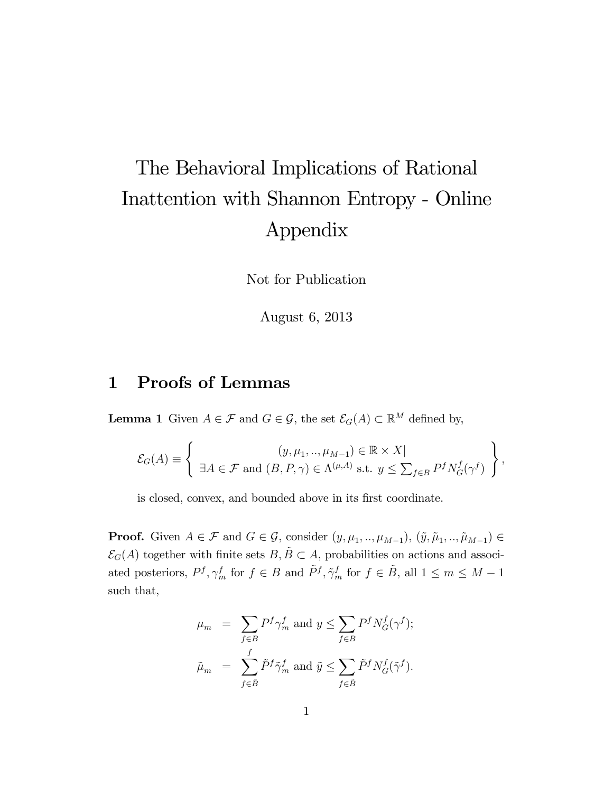## The Behavioral Implications of Rational Inattention with Shannon Entropy - Online Appendix

Not for Publication

August 6, 2013

## 1 Proofs of Lemmas

**Lemma 1** Given  $A \in \mathcal{F}$  and  $G \in \mathcal{G}$ , the set  $\mathcal{E}_G(A) \subset \mathbb{R}^M$  defined by,

$$
\mathcal{E}_G(A) \equiv \left\{ \begin{array}{c} (y, \mu_1, ..., \mu_{M-1}) \in \mathbb{R} \times X | \\ \exists A \in \mathcal{F} \text{ and } (B, P, \gamma) \in \Lambda^{(\mu, A)} \text{ s.t. } y \leq \sum_{f \in B} P^f N^f_G(\gamma^f) \end{array} \right\},
$$

is closed, convex, and bounded above in its first coordinate.

**Proof.** Given  $A \in \mathcal{F}$  and  $G \in \mathcal{G}$ , consider  $(y, \mu_1, ..., \mu_{M-1}), (\tilde{y}, \tilde{\mu}_1, ..., \tilde{\mu}_{M-1}) \in$  $\mathcal{E}_G(A)$  together with finite sets  $B, \tilde{B} \subset A$ , probabilities on actions and associated posteriors,  $P^f, \gamma_m^f$  for  $f \in B$  and  $\tilde{P}^f, \tilde{\gamma}_m^f$  for  $f \in \tilde{B}$ , all  $1 \leq m \leq M - 1$ such that,

$$
\begin{array}{lcl} \mu_m & = & \displaystyle{\sum_{f \in B} P^f \gamma_m^f} \text{ and } y \leq \displaystyle{\sum_{f \in B} P^f N_G^f (\gamma^f)}; \\ \tilde{\mu}_m & = & \displaystyle{\sum_{f \in \tilde{B}} \tilde{P}^f \tilde{\gamma}_m^f} \text{ and } \tilde{y} \leq \displaystyle{\sum_{f \in \tilde{B}} \tilde{P}^f N_G^f (\tilde{\gamma}^f)}.\end{array}
$$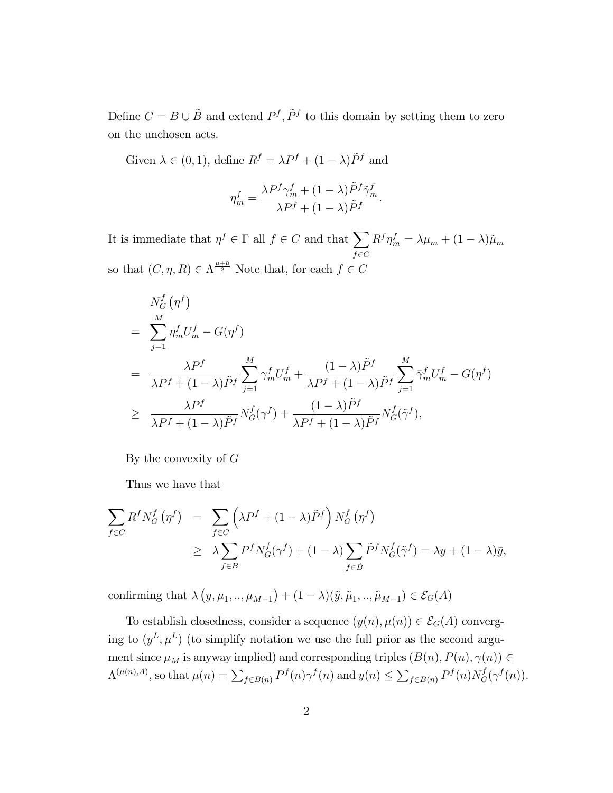Define  $C = B \cup \tilde{B}$  and extend  $P<sup>f</sup>$ ,  $\tilde{P}<sup>f</sup>$  to this domain by setting them to zero on the unchosen acts.

Given  $\lambda \in (0, 1)$ , define  $R^f = \lambda P^f + (1 - \lambda)\tilde{P}^f$  and

$$
\eta_m^f = \frac{\lambda P^f \gamma_m^f + (1 - \lambda)\tilde{P}^f \tilde{\gamma}_m^f}{\lambda P^f + (1 - \lambda)\tilde{P}^f}.
$$

It is immediate that  $\eta^f \in \Gamma$  all  $f \in C$  and that  $\sum$  $f {\in} C$  $R^f \eta_m^f = \lambda \mu_m + (1 - \lambda) \tilde{\mu}_m$ so that  $(C, \eta, R) \in \Lambda^{\frac{\mu + \tilde{\mu}}{2}}$  Note that, for each  $f \in C$ 

$$
N_G^f(\eta^f)
$$
  
= 
$$
\sum_{j=1}^M \eta_n^f U_m^f - G(\eta^f)
$$
  
= 
$$
\frac{\lambda P^f}{\lambda P^f + (1 - \lambda)\tilde{P}^f} \sum_{j=1}^M \gamma_m^f U_m^f + \frac{(1 - \lambda)\tilde{P}^f}{\lambda P^f + (1 - \lambda)\tilde{P}^f} \sum_{j=1}^M \bar{\gamma}_m^f U_m^f - G(\eta^f)
$$
  

$$
\geq \frac{\lambda P^f}{\lambda P^f + (1 - \lambda)\tilde{P}^f} N_G^f(\gamma^f) + \frac{(1 - \lambda)\tilde{P}^f}{\lambda P^f + (1 - \lambda)\tilde{P}^f} N_G^f(\tilde{\gamma}^f),
$$

By the convexity of  $G$ 

Thus we have that

$$
\sum_{f \in C} R^f N_G^f \left( \eta^f \right) = \sum_{f \in C} \left( \lambda P^f + (1 - \lambda) \tilde{P}^f \right) N_G^f \left( \eta^f \right)
$$
\n
$$
\geq \lambda \sum_{f \in B} P^f N_G^f(\gamma^f) + (1 - \lambda) \sum_{f \in \tilde{B}} \tilde{P}^f N_G^f(\tilde{\gamma}^f) = \lambda y + (1 - \lambda) \bar{y},
$$

confirming that  $\lambda (y, \mu_1, ..., \mu_{M-1}) + (1 - \lambda)(\tilde{y}, \tilde{\mu}_1, ..., \tilde{\mu}_{M-1}) \in \mathcal{E}_G(A)$ 

To establish closedness, consider a sequence  $(y(n), \mu(n)) \in \mathcal{E}_G(A)$  converging to  $(y^L, \mu^L)$  (to simplify notation we use the full prior as the second argument since  $\mu_M$  is anyway implied) and corresponding triples  $(B(n), P(n), \gamma(n)) \in$  $\Lambda^{(\mu(n),A)},$  so that  $\mu(n) = \sum_{f \in B(n)} P^f(n) \gamma^f(n)$  and  $y(n) \leq \sum_{f \in B(n)} P^f(n) N_G^f(\gamma^f(n)).$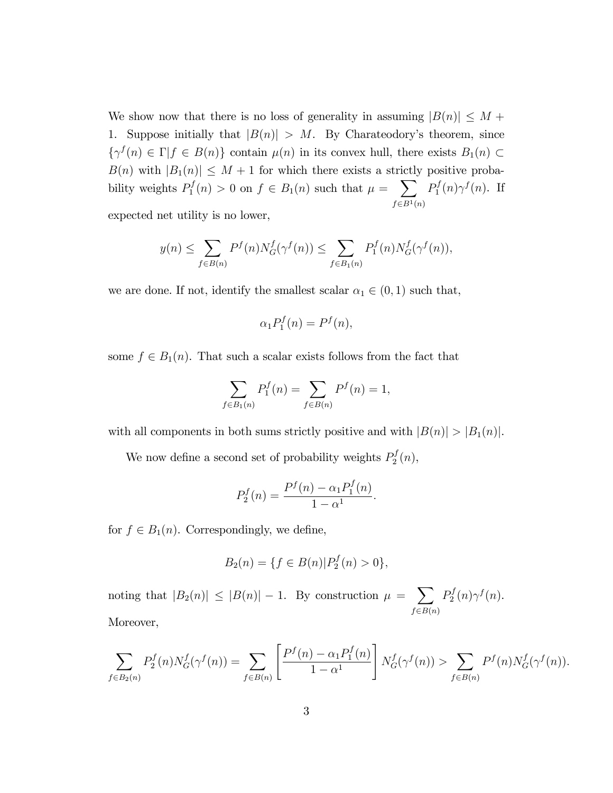We show now that there is no loss of generality in assuming  $|B(n)| \leq M +$ 1. Suppose initially that  $|B(n)| > M$ . By Charateodory's theorem, since  $\{\gamma^f(n) \in \Gamma | f \in B(n)\}\$  contain  $\mu(n)$  in its convex hull, there exists  $B_1(n) \subset$  $B(n)$  with  $|B_1(n)| \leq M + 1$  for which there exists a strictly positive probability weights  $P_1^f$  $p_1^f(n) > 0$  on  $f \in B_1(n)$  such that  $\mu = \sum$  $f \in B<sup>1</sup>(n)$  $P_1^f$  $p_1^f(n)\gamma^f(n)$ . If

expected net utility is no lower,

$$
y(n) \le \sum_{f \in B(n)} P^f(n) N_G^f(\gamma^f(n)) \le \sum_{f \in B_1(n)} P_1^f(n) N_G^f(\gamma^f(n)),
$$

we are done. If not, identify the smallest scalar  $\alpha_1 \in (0, 1)$  such that,

$$
\alpha_1 P_1^f(n) = P^f(n),
$$

some  $f \in B_1(n)$ . That such a scalar exists follows from the fact that

$$
\sum_{f \in B_1(n)} P_1^f(n) = \sum_{f \in B(n)} P^f(n) = 1,
$$

with all components in both sums strictly positive and with  $|B(n)| > |B_1(n)|$ .

We now define a second set of probability weights  $P_2^f$  $b_2^J(n),$ 

$$
P_2^f(n) = \frac{P^f(n) - \alpha_1 P_1^f(n)}{1 - \alpha^1}.
$$

for  $f \in B_1(n)$ . Correspondingly, we define,

$$
B_2(n) = \{ f \in B(n) | P_2^f(n) > 0 \},\
$$

noting that  $|B_2(n)| \leq |B(n)| - 1$ . By construction  $\mu = \sum$  $f \in B(n)$  $P_2^f$  $b_2^f(n)\gamma^f(n).$ Moreover,

$$
\sum_{f \in B_2(n)} P_2^f(n) N_G^f(\gamma^f(n)) = \sum_{f \in B(n)} \left[ \frac{P^f(n) - \alpha_1 P_1^f(n)}{1 - \alpha^1} \right] N_G^f(\gamma^f(n)) > \sum_{f \in B(n)} P^f(n) N_G^f(\gamma^f(n)).
$$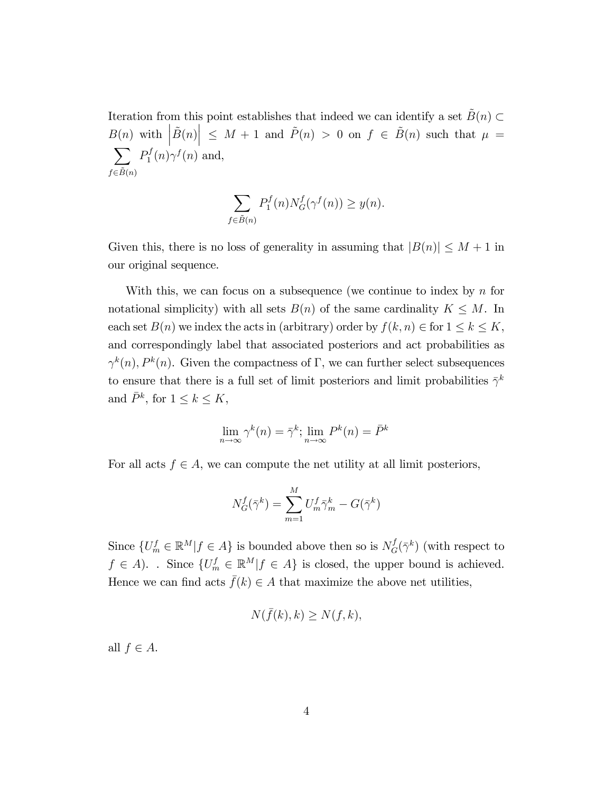Iteration from this point establishes that indeed we can identify a set  $\tilde{B}(n) \subset$  $B(n)$  with  $|\tilde{B}(n)| \leq M + 1$  and  $\tilde{P}(n) > 0$  on  $f \in \tilde{B}(n)$  such that  $\mu = \sum P(f(n)\gamma f(n)$  and  $f{\in}\tilde{B}(n)$  $P_1^f$  $p_1^f(n)\gamma^f(n)$  and,

$$
\sum_{f \in \tilde{B}(n)} P_1^f(n) N_G^f(\gamma^f(n)) \ge y(n).
$$

Given this, there is no loss of generality in assuming that  $|B(n)| \leq M + 1$  in our original sequence.

With this, we can focus on a subsequence (we continue to index by  $n$  for notational simplicity) with all sets  $B(n)$  of the same cardinality  $K \leq M$ . In each set  $B(n)$  we index the acts in (arbitrary) order by  $f(k, n) \in \text{for } 1 \leq k \leq K$ , and correspondingly label that associated posteriors and act probabilities as  $\gamma^k(n)$ ,  $P^k(n)$ . Given the compactness of  $\Gamma$ , we can further select subsequences to ensure that there is a full set of limit posteriors and limit probabilities  $\bar{\gamma}^k$ and  $\bar{P}^k$ , for  $1 \leq k \leq K$ ,

$$
\lim_{n \to \infty} \gamma^k(n) = \bar{\gamma}^k; \lim_{n \to \infty} P^k(n) = \bar{P}^k
$$

For all acts  $f \in A$ , we can compute the net utility at all limit posteriors,

$$
N_G^f(\bar{\gamma}^k) = \sum_{m=1}^M U_m^f \bar{\gamma}_m^k - G(\bar{\gamma}^k)
$$

Since  $\{U_m^f \in \mathbb{R}^M | f \in A\}$  is bounded above then so is  $N_G^f(\bar{\gamma}^k)$  (with respect to  $f \in A$ ). . Since  $\{U_m^f \in \mathbb{R}^M | f \in A\}$  is closed, the upper bound is achieved. Hence we can find acts  $\bar{f}(k) \in A$  that maximize the above net utilities,

$$
N(\bar{f}(k),k) \ge N(f,k),
$$

all  $f \in A$ .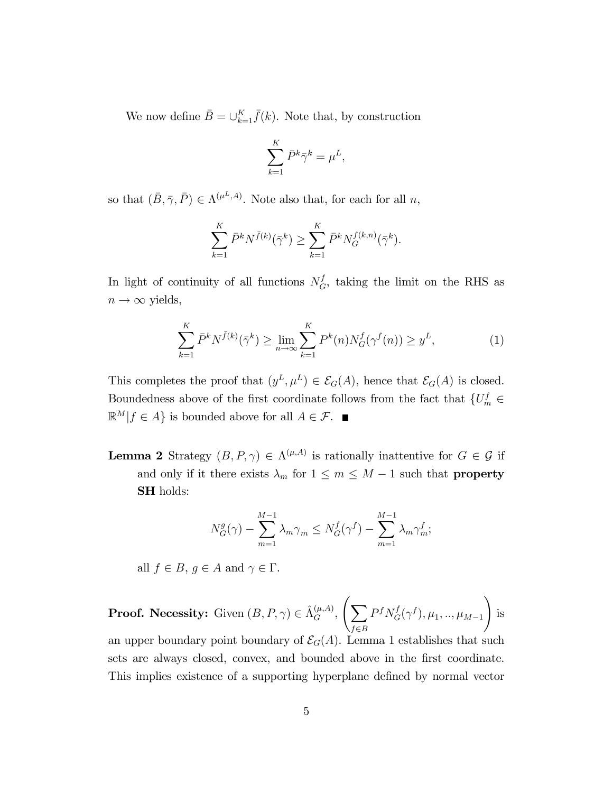We now define  $\bar{B} = \bigcup_{k=1}^{K} \bar{f}(k)$ . Note that, by construction

$$
\sum_{k=1}^K \bar{P}^k \bar{\gamma}^k = \mu^L,
$$

so that  $(\bar{B}, \bar{\gamma}, \bar{P}) \in \Lambda^{(\mu^L, A)}$ . Note also that, for each for all  $n$ ,

$$
\sum_{k=1}^{K} \bar{P}^{k} N^{\bar{f}(k)}(\bar{\gamma}^{k}) \ge \sum_{k=1}^{K} \bar{P}^{k} N_G^{f(k,n)}(\bar{\gamma}^{k}).
$$

In light of continuity of all functions  $N_G^f$ , taking the limit on the RHS as  $n \to \infty$  yields,

$$
\sum_{k=1}^{K} \bar{P}^k N^{\bar{f}(k)}(\bar{\gamma}^k) \ge \lim_{n \to \infty} \sum_{k=1}^{K} P^k(n) N_G^f(\gamma^f(n)) \ge y^L,\tag{1}
$$

This completes the proof that  $(y^L, \mu^L) \in \mathcal{E}_G(A)$ , hence that  $\mathcal{E}_G(A)$  is closed. Boundedness above of the first coordinate follows from the fact that  $\{U_m^f \in$  $\mathbb{R}^M | f \in A$  is bounded above for all  $A \in \mathcal{F}$ .

**Lemma 2** Strategy  $(B, P, \gamma) \in \Lambda^{(\mu, A)}$  is rationally inattentive for  $G \in \mathcal{G}$  if and only if it there exists  $\lambda_m$  for  $1 \leq m \leq M - 1$  such that **property** SH holds:

$$
N_G^g(\gamma) - \sum_{m=1}^{M-1} \lambda_m \gamma_m \le N_G^f(\gamma^f) - \sum_{m=1}^{M-1} \lambda_m \gamma_m^f;
$$

all  $f \in B$ ,  $g \in A$  and  $\gamma \in \Gamma$ .

**Proof.** Necessity: Given  $(B, P, \gamma) \in \hat{\Lambda}_G^{(\mu, A)}, \left( \sum_{\sigma} \gamma \right)$  $f \in B$  $P^{f}N_{G}^{f}(\gamma^{f}), \mu_{1},..,\mu_{M-1}$ ! is an upper boundary point boundary of  $\mathcal{E}_G(A)$ . Lemma 1 establishes that such

sets are always closed, convex, and bounded above in the first coordinate. This implies existence of a supporting hyperplane defined by normal vector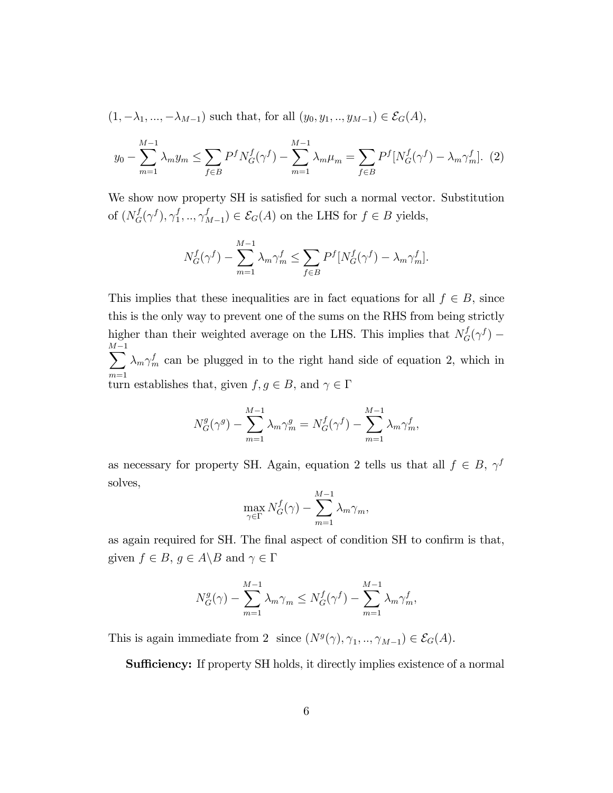$$
(1, -\lambda_1, ..., -\lambda_{M-1})
$$
 such that, for all  $(y_0, y_1, ..., y_{M-1}) \in \mathcal{E}_G(A)$ ,

$$
y_0 - \sum_{m=1}^{M-1} \lambda_m y_m \le \sum_{f \in B} P^f N_G^f(\gamma^f) - \sum_{m=1}^{M-1} \lambda_m \mu_m = \sum_{f \in B} P^f [N_G^f(\gamma^f) - \lambda_m \gamma_m^f]. \tag{2}
$$

We show now property SH is satisfied for such a normal vector. Substitution of  $(N_G^f(\gamma^f),\gamma_1^f)$  $_{1}^{f},..,\gamma _{N}^{f}$  $\mathcal{E}_{L}^{I}(A) \subset \mathcal{E}_{G}(A)$  on the LHS for  $f \in B$  yields,

$$
N_G^f(\gamma^f) - \sum_{m=1}^{M-1} \lambda_m \gamma_m^f \le \sum_{f \in B} P^f[N_G^f(\gamma^f) - \lambda_m \gamma_m^f].
$$

This implies that these inequalities are in fact equations for all  $f \in B$ , since this is the only way to prevent one of the sums on the RHS from being strictly higher than their weighted average on the LHS. This implies that  $N_G^f(\gamma^f)$  – M  $\sum^{M-1}$  $m=1$  $\lambda_m \gamma_m^f$  can be plugged in to the right hand side of equation 2, which in turn establishes that, given  $f, g \in B$ , and  $\gamma \in \Gamma$ 

$$
N_G^g(\gamma^g) - \sum_{m=1}^{M-1} \lambda_m \gamma_m^g = N_G^f(\gamma^f) - \sum_{m=1}^{M-1} \lambda_m \gamma_m^f,
$$

as necessary for property SH. Again, equation 2 tells us that all  $f \in B$ ,  $\gamma^f$ solves,

$$
\max_{\gamma \in \Gamma} N_G^f(\gamma) - \sum_{m=1}^{M-1} \lambda_m \gamma_m,
$$

as again required for SH. The final aspect of condition SH to confirm is that, given  $f\in B,$   $g\in A\backslash B$  and  $\gamma\in\Gamma$ 

$$
N_G^g(\gamma) - \sum_{m=1}^{M-1} \lambda_m \gamma_m \le N_G^f(\gamma^f) - \sum_{m=1}^{M-1} \lambda_m \gamma_m^f,
$$

This is again immediate from 2 since  $(N^g(\gamma), \gamma_1, ..., \gamma_{M-1}) \in \mathcal{E}_G(A)$ .

**Sufficiency:** If property SH holds, it directly implies existence of a normal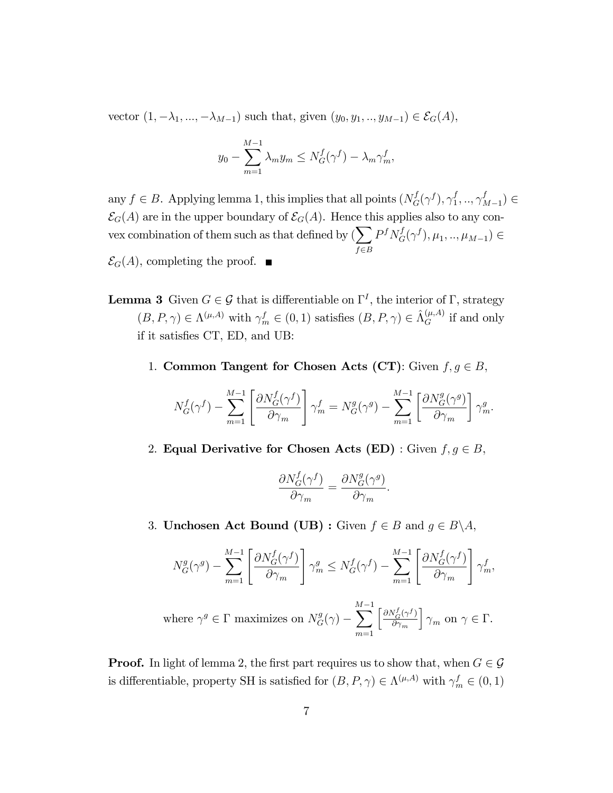vector  $(1, -\lambda_1, ..., -\lambda_{M-1})$  such that, given  $(y_0, y_1, ..., y_{M-1}) \in \mathcal{E}_G(A)$ ,

$$
y_0 - \sum_{m=1}^{M-1} \lambda_m y_m \le N_G^f(\gamma^f) - \lambda_m \gamma_m^f,
$$

any  $f \in B$ . Applying lemma 1, this implies that all points  $(N_G^f(\gamma^f), \gamma_1^f)$  $_{1}^{f},..,\gamma _{_{}^{f}$  $_{M-1}^{J}$ )  $\in$  $\mathcal{E}_G(A)$  are in the upper boundary of  $\mathcal{E}_G(A)$ . Hence this applies also to any convex combination of them such as that defined by  $(\sum)$  $f{\in}B$  $P^f N_G^f(\gamma^f), \mu_1, ..., \mu_{M-1}) \in$ 

 $\mathcal{E}_G(A)$ , completing the proof.  $\blacksquare$ 

- **Lemma 3** Given  $G \in \mathcal{G}$  that is differentiable on  $\Gamma^I$ , the interior of  $\Gamma$ , strategy  $(B, P, \gamma) \in \Lambda^{(\mu, A)}$  with  $\gamma_m^f \in (0, 1)$  satisfies  $(B, P, \gamma) \in \hat{\Lambda}_G^{(\mu, A)}$  if and only if it satisfies CT, ED, and UB:
	- 1. Common Tangent for Chosen Acts (CT): Given  $f, g \in B$ ,

$$
N_G^f(\gamma^f) - \sum_{m=1}^{M-1} \left[ \frac{\partial N_G^f(\gamma^f)}{\partial \gamma_m} \right] \gamma_m^f = N_G^g(\gamma^g) - \sum_{m=1}^{M-1} \left[ \frac{\partial N_G^g(\gamma^g)}{\partial \gamma_m} \right] \gamma_m^g.
$$

2. Equal Derivative for Chosen Acts (ED) : Given  $f, g \in B$ ,

$$
\frac{\partial N_G^f(\gamma^f)}{\partial \gamma_m} = \frac{\partial N_G^g(\gamma^g)}{\partial \gamma_m}.
$$

3. Unchosen Act Bound (UB) : Given  $f \in B$  and  $g \in B \backslash A$ ,

$$
N_G^g(\gamma^g) - \sum_{m=1}^{M-1} \left[ \frac{\partial N_G^f(\gamma^f)}{\partial \gamma_m} \right] \gamma_m^g \le N_G^f(\gamma^f) - \sum_{m=1}^{M-1} \left[ \frac{\partial N_G^f(\gamma^f)}{\partial \gamma_m} \right] \gamma_m^f,
$$
  
where  $\gamma^g \in \Gamma$  maximizes on  $N_G^g(\gamma) - \sum_{m=1}^{M-1} \left[ \frac{\partial N_G^f(\gamma^f)}{\partial \gamma_m} \right] \gamma_m$  on  $\gamma \in \Gamma$ .

**Proof.** In light of lemma 2, the first part requires us to show that, when  $G \in \mathcal{G}$ is differentiable, property SH is satisfied for  $(B, P, \gamma) \in \Lambda^{(\mu, A)}$  with  $\gamma_m^f \in (0, 1)$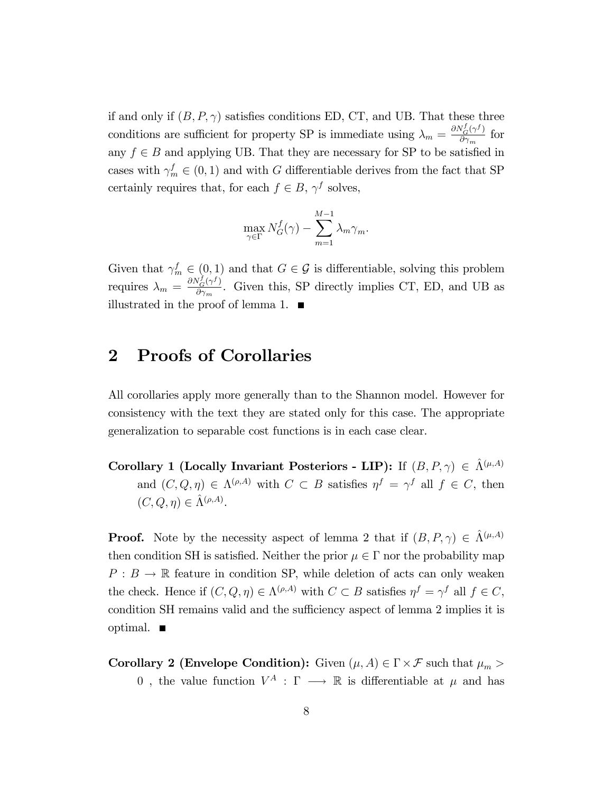if and only if  $(B, P, \gamma)$  satisfies conditions ED, CT, and UB. That these three conditions are sufficient for property SP is immediate using  $\lambda_m = \frac{\partial N_G^f(\gamma^f)}{\partial \gamma^f}$  $\frac{\partial \mathbf{v}_{G}(\gamma)}{\partial \gamma_{m}}$  for any  $f \in B$  and applying UB. That they are necessary for SP to be satisfied in cases with  $\gamma_m^f \in (0, 1)$  and with G differentiable derives from the fact that SP certainly requires that, for each  $f \in B$ ,  $\gamma^f$  solves,

$$
\max_{\gamma \in \Gamma} N_G^f(\gamma) - \sum_{m=1}^{M-1} \lambda_m \gamma_m.
$$

Given that  $\gamma_m^f \in (0,1)$  and that  $G \in \mathcal{G}$  is differentiable, solving this problem requires  $\lambda_m = \frac{\partial N_G^f(\gamma^f)}{\partial \gamma}$  $\frac{\partial G(\gamma)}{\partial \gamma_m}$ . Given this, SP directly implies CT, ED, and UB as illustrated in the proof of lemma 1.  $\blacksquare$ 

## 2 Proofs of Corollaries

All corollaries apply more generally than to the Shannon model. However for consistency with the text they are stated only for this case. The appropriate generalization to separable cost functions is in each case clear.

Corollary 1 (Locally Invariant Posteriors - LIP): If  $(B, P, \gamma) \in \hat{\Lambda}^{(\mu, A)}$ and  $(C, Q, \eta) \in \Lambda^{(\rho,A)}$  with  $C \subset B$  satisfies  $\eta^f = \gamma^f$  all  $f \in C$ , then  $(C, Q, \eta) \in \hat{\Lambda}^{(\rho,A)}.$ 

**Proof.** Note by the necessity aspect of lemma 2 that if  $(B, P, \gamma) \in \hat{\Lambda}^{(\mu, A)}$ then condition SH is satisfied. Neither the prior  $\mu \in \Gamma$  nor the probability map  $P : B \to \mathbb{R}$  feature in condition SP, while deletion of acts can only weaken the check. Hence if  $(C, Q, \eta) \in \Lambda^{(\rho, A)}$  with  $C \subset B$  satisfies  $\eta^f = \gamma^f$  all  $f \in C$ , condition SH remains valid and the sufficiency aspect of lemma 2 implies it is optimal.  $\blacksquare$ 

**Corollary 2 (Envelope Condition):** Given  $(\mu, A) \in \Gamma \times \mathcal{F}$  such that  $\mu_m >$ 0, the value function  $V^A: \Gamma \longrightarrow \mathbb{R}$  is differentiable at  $\mu$  and has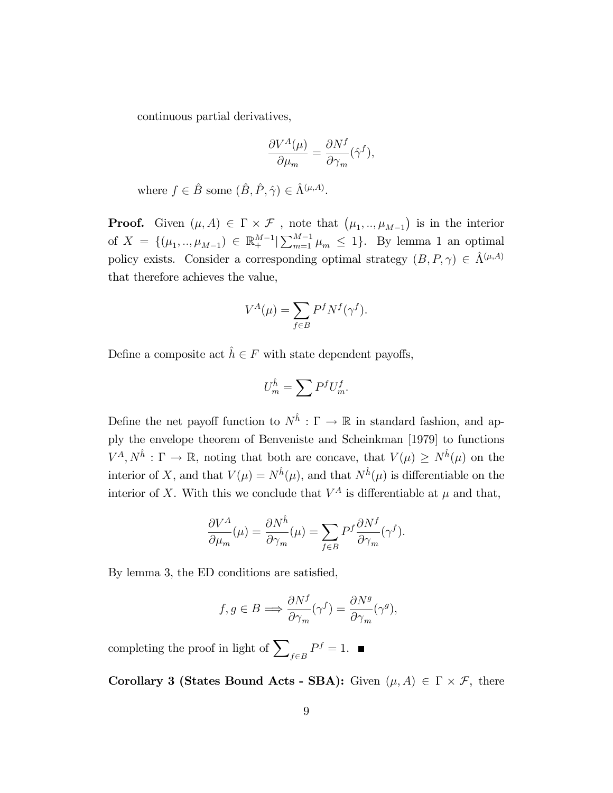continuous partial derivatives,

$$
\frac{\partial V^A(\mu)}{\partial \mu_m} = \frac{\partial N^f}{\partial \gamma_m}(\hat{\gamma}^f),
$$

where  $f \in \hat{B}$  some  $(\hat{B}, \hat{P}, \hat{\gamma}) \in \hat{\Lambda}^{(\mu,A)}$ .

**Proof.** Given  $(\mu, A) \in \Gamma \times \mathcal{F}$ , note that  $(\mu_1, ..., \mu_{M-1})$  is in the interior of  $X = \{(\mu_1, ..., \mu_{M-1}) \in \mathbb{R}^{M-1} \mid \sum_{m=1}^{M-1} \mu_m \leq 1\}$ . By lemma 1 an optimal policy exists. Consider a corresponding optimal strategy  $(B, P, \gamma) \in \hat{\Lambda}^{(\mu,A)}$ that therefore achieves the value,

$$
V^A(\mu) = \sum_{f \in B} P^f N^f(\gamma^f).
$$

Define a composite act  $\hat{h} \in F$  with state dependent payoffs,

$$
U_m^{\hat{h}} = \sum P^f U_m^f.
$$

Define the net payoff function to  $N^{\hat{h}} : \Gamma \to \mathbb{R}$  in standard fashion, and apply the envelope theorem of Benveniste and Scheinkman [1979] to functions  $V^A, N^{\hat{h}}: \Gamma \to \mathbb{R}$ , noting that both are concave, that  $V(\mu) \geq N^{\hat{h}}(\mu)$  on the interior of X, and that  $V(\mu) = N^{\hat{h}}(\mu)$ , and that  $N^{\hat{h}}(\mu)$  is differentiable on the interior of X. With this we conclude that  $V^A$  is differentiable at  $\mu$  and that,

$$
\frac{\partial V^A}{\partial \mu_m}(\mu) = \frac{\partial N^{\hat{h}}}{\partial \gamma_m}(\mu) = \sum_{f \in B} P^f \frac{\partial N^f}{\partial \gamma_m}(\gamma^f).
$$

By lemma 3, the ED conditions are satisfied,

$$
f, g \in B \Longrightarrow \frac{\partial N^f}{\partial \gamma_m}(\gamma^f) = \frac{\partial N^g}{\partial \gamma_m}(\gamma^g),
$$

completing the proof in light of  $\sum$  $f{\in}B$  $P^f=1.$ 

**Corollary 3 (States Bound Acts - SBA):** Given  $(\mu, A) \in \Gamma \times \mathcal{F}$ , there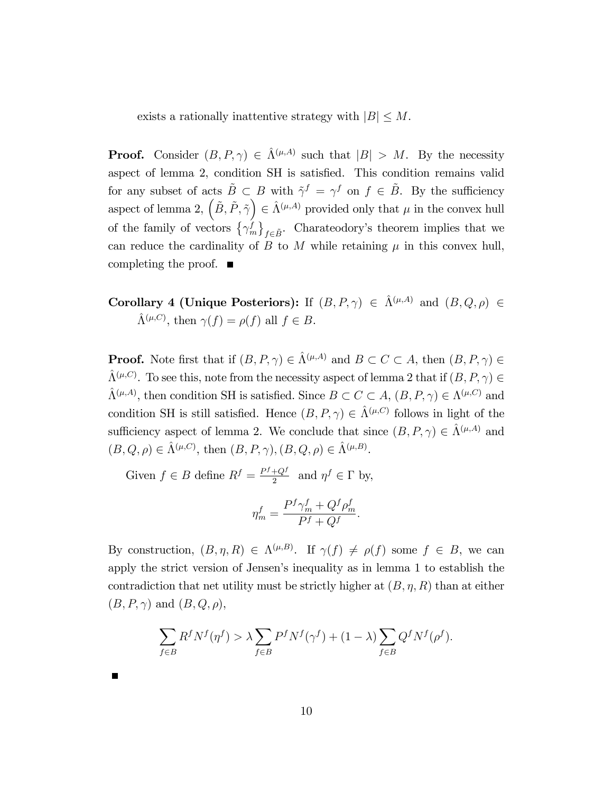exists a rationally inattentive strategy with  $|B| \leq M$ .

**Proof.** Consider  $(B, P, \gamma) \in \hat{\Lambda}^{(\mu,A)}$  such that  $|B| > M$ . By the necessity aspect of lemma 2, condition SH is satisfied. This condition remains valid for any subset of acts  $\tilde{B} \subset B$  with  $\tilde{\gamma}^f = \gamma^f$  on  $f \in \tilde{B}$ . By the sufficiency aspect of lemma 2,  $(\tilde{B}, \tilde{P}, \tilde{\gamma}) \in \hat{\Lambda}^{(\mu, A)}$  provided only that  $\mu$  in the convex hull of the family of vectors  $\{\gamma_m^f\}$  $f \in \tilde{B}$ . Charateodory's theorem implies that we can reduce the cardinality of B to M while retaining  $\mu$  in this convex hull, completing the proof.  $\blacksquare$ 

Corollary 4 (Unique Posteriors): If  $(B, P, \gamma) \in \hat{\Lambda}^{(\mu,A)}$  and  $(B, Q, \rho) \in$  $\hat{\Lambda}^{(\mu,C)}$ , then  $\gamma(f) = \rho(f)$  all  $f \in B$ .

**Proof.** Note first that if  $(B, P, \gamma) \in \hat{\Lambda}^{(\mu,A)}$  and  $B \subset C \subset A$ , then  $(B, P, \gamma) \in$  $\hat{\Lambda}^{(\mu,C)}$ . To see this, note from the necessity aspect of lemma 2 that if  $(B, P, \gamma) \in$  $\hat{\Lambda}^{(\mu,A)},$  then condition SH is satisfied. Since  $B \subset C \subset A$ ,  $(B, P, \gamma) \in \Lambda^{(\mu,C)}$  and condition SH is still satisfied. Hence  $(B, P, \gamma) \in \hat{\Lambda}^{(\mu, C)}$  follows in light of the sufficiency aspect of lemma 2. We conclude that since  $(B, P, \gamma) \in \hat{\Lambda}^{(\mu,A)}$  and  $(B, Q, \rho) \in \hat{\Lambda}^{(\mu, C)}$ , then  $(B, P, \gamma)$ ,  $(B, Q, \rho) \in \hat{\Lambda}^{(\mu, B)}$ .

Given  $f \in B$  define  $R^f = \frac{P^f + Q^f}{2}$  $\frac{+Q^J}{2}$  and  $\eta^f \in \Gamma$  by,

$$
\eta_m^f = \frac{P^f \gamma_m^f + Q^f \rho_m^f}{P^f + Q^f}.
$$

By construction,  $(B, \eta, R) \in \Lambda^{(\mu, B)}$ . If  $\gamma(f) \neq \rho(f)$  some  $f \in B$ , we can apply the strict version of Jensenís inequality as in lemma 1 to establish the contradiction that net utility must be strictly higher at  $(B, \eta, R)$  than at either  $(B, P, \gamma)$  and  $(B, Q, \rho)$ ,

$$
\sum_{f \in B} R^f N^f(\eta^f) > \lambda \sum_{f \in B} P^f N^f(\gamma^f) + (1 - \lambda) \sum_{f \in B} Q^f N^f(\rho^f).
$$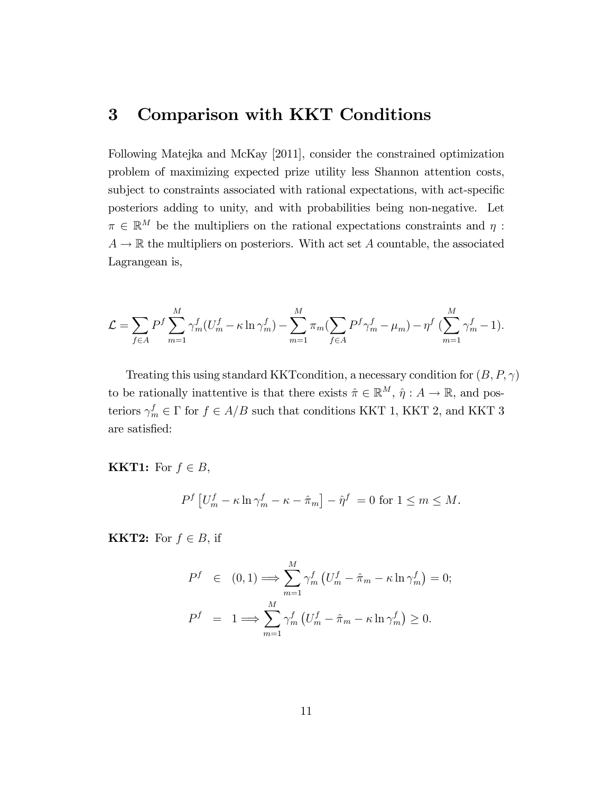## 3 Comparison with KKT Conditions

Following Matejka and McKay [2011], consider the constrained optimization problem of maximizing expected prize utility less Shannon attention costs, subject to constraints associated with rational expectations, with act-specific posteriors adding to unity, and with probabilities being non-negative. Let  $\pi \in \mathbb{R}^M$  be the multipliers on the rational expectations constraints and  $\eta$ :  $A \rightarrow \mathbb{R}$  the multipliers on posteriors. With act set A countable, the associated Lagrangean is,

$$
\mathcal{L} = \sum_{f \in A} P^f \sum_{m=1}^M \gamma_m^f (U_m^f - \kappa \ln \gamma_m^f) - \sum_{m=1}^M \pi_m (\sum_{f \in A} P^f \gamma_m^f - \mu_m) - \eta^f (\sum_{m=1}^M \gamma_m^f - 1).
$$

Treating this using standard KKT condition, a necessary condition for  $(B, P, \gamma)$ to be rationally inattentive is that there exists  $\hat{\pi} \in \mathbb{R}^M$ ,  $\hat{\eta} : A \to \mathbb{R}$ , and posteriors  $\gamma_m^f \in \Gamma$  for  $f \in A/B$  such that conditions KKT 1, KKT 2, and KKT 3 are satisfied:

**KKT1:** For  $f \in B$ ,

$$
P^{f}\left[U_{m}^{f}-\kappa\ln\gamma_{m}^{f}-\kappa-\hat{\pi}_{m}\right]-\hat{\eta}^{f}=0 \text{ for } 1\leq m\leq M.
$$

**KKT2:** For  $f \in B$ , if

$$
P^{f} \in (0, 1) \Longrightarrow \sum_{m=1}^{M} \gamma_m^f \left( U_m^f - \hat{\pi}_m - \kappa \ln \gamma_m^f \right) = 0;
$$
  

$$
P^{f} = 1 \Longrightarrow \sum_{m=1}^{M} \gamma_m^f \left( U_m^f - \hat{\pi}_m - \kappa \ln \gamma_m^f \right) \ge 0.
$$